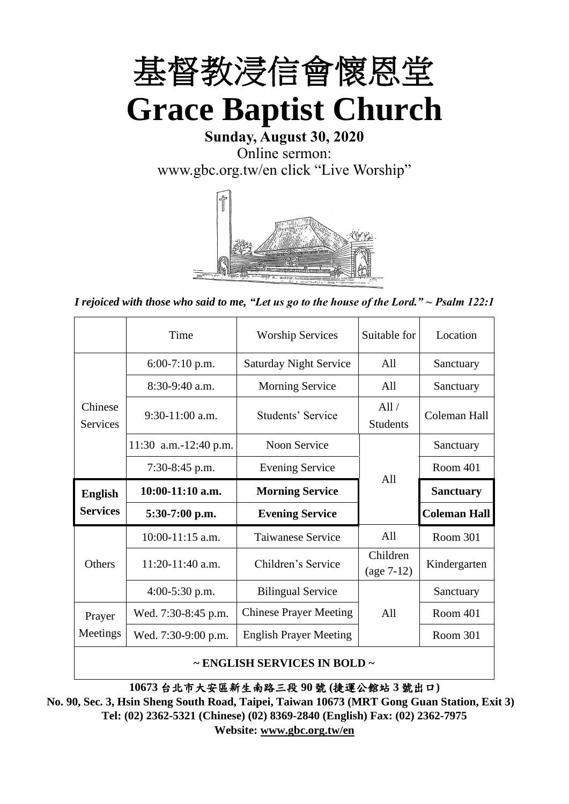

**Sunday, August 30, 2020** Online sermon: [www.gbc.org.tw/en](http://www.gbc.org.tw/en) click "Live Worship"



*I rejoiced with those who said to me, "Let us go to the house of the Lord." ~ Psalm 122:1*

|                            | Time                  | <b>Worship Services</b>       | Suitable for             | Location            |
|----------------------------|-----------------------|-------------------------------|--------------------------|---------------------|
|                            | $6:00-7:10$ p.m.      | <b>Saturday Night Service</b> | All                      | Sanctuary           |
|                            | $8:30-9:40$ a.m.      | <b>Morning Service</b>        | All                      | Sanctuary           |
| Chinese<br><b>Services</b> | $9:30-11:00$ a.m.     | Students' Service             | All/<br><b>Students</b>  | Coleman Hall        |
|                            | 11:30 a.m.-12:40 p.m. | Noon Service                  |                          | Sanctuary           |
|                            | $7:30-8:45$ p.m.      | <b>Evening Service</b>        | A11                      | Room 401            |
|                            |                       |                               |                          |                     |
| <b>English</b>             | $10:00-11:10$ a.m.    | <b>Morning Service</b>        |                          | <b>Sanctuary</b>    |
| <b>Services</b>            | $5:30-7:00$ p.m.      | <b>Evening Service</b>        |                          | <b>Coleman Hall</b> |
|                            | 10:00-11:15 a.m.      | <b>Taiwanese Service</b>      | All                      | Room 301            |
| <b>Others</b>              | $11:20-11:40$ a.m.    | Children's Service            | Children<br>$(age 7-12)$ | Kindergarten        |
|                            | $4:00-5:30$ p.m.      | <b>Bilingual Service</b>      |                          | Sanctuary           |
| Prayer                     | Wed. 7:30-8:45 p.m.   | <b>Chinese Prayer Meeting</b> | A11                      | Room 401            |
| Meetings                   | Wed. 7:30-9:00 p.m.   | <b>English Prayer Meeting</b> |                          | Room 301            |

### **~ ENGLISH SERVICES IN BOLD ~**

**10673** 台北市大安區新生南路三段 **90** 號 **(**捷運公館站 **3** 號出口**)**

**No. 90, Sec. 3, Hsin Sheng South Road, Taipei, Taiwan 10673 (MRT Gong Guan Station, Exit 3) Tel: (02) 2362-5321 (Chinese) (02) 8369-2840 (English) Fax: (02) 2362-7975 Website: [www.gbc.org.tw/en](http://www.gbc.org.tw/en)**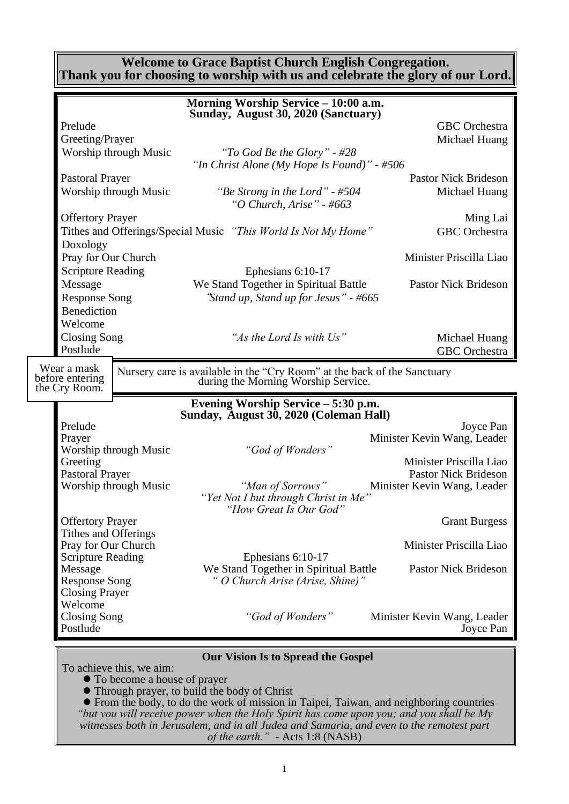### **Welcome to Grace Baptist Church English Congregation. Thank you for choosing to worship with us and celebrate the glory of our Lord.**

|                                    |                       | Morning Worship Service - 10:00 a.m.                                                                            |                                                        |
|------------------------------------|-----------------------|-----------------------------------------------------------------------------------------------------------------|--------------------------------------------------------|
|                                    |                       | Sunday, August 30, 2020 (Sanctuary)                                                                             |                                                        |
| Prelude                            |                       |                                                                                                                 | <b>GBC</b> Orchestra                                   |
| Greeting/Prayer                    |                       |                                                                                                                 | Michael Huang                                          |
|                                    | Worship through Music | "To God Be the Glory" - #28                                                                                     |                                                        |
|                                    |                       | "In Christ Alone (My Hope Is Found)" - #506                                                                     |                                                        |
| <b>Pastoral Prayer</b>             |                       |                                                                                                                 | <b>Pastor Nick Brideson</b>                            |
|                                    | Worship through Music | "Be Strong in the Lord" - #504<br>"O Church, Arise" - #663                                                      | Michael Huang                                          |
| <b>Offertory Prayer</b>            |                       |                                                                                                                 | Ming Lai                                               |
|                                    |                       | Tithes and Offerings/Special Music "This World Is Not My Home"                                                  | <b>GBC</b> Orchestra                                   |
| Doxology                           |                       |                                                                                                                 |                                                        |
| Pray for Our Church                |                       |                                                                                                                 | Minister Priscilla Liao                                |
| <b>Scripture Reading</b>           |                       | Ephesians 6:10-17                                                                                               |                                                        |
| Message                            |                       | We Stand Together in Spiritual Battle                                                                           | <b>Pastor Nick Brideson</b>                            |
| <b>Response Song</b>               |                       | "Stand up, Stand up for Jesus" - #665                                                                           |                                                        |
| Benediction                        |                       |                                                                                                                 |                                                        |
| Welcome                            |                       |                                                                                                                 |                                                        |
| <b>Closing Song</b>                |                       | "As the Lord Is with Us"                                                                                        | Michael Huang                                          |
| Postlude                           |                       |                                                                                                                 | <b>GBC</b> Orchestra                                   |
| Wear a mask                        |                       |                                                                                                                 |                                                        |
| before entering                    |                       | Nursery care is available in the "Cry Room" at the back of the Sanctuary<br>during the Morning Worship Service. |                                                        |
| the Cry Room.                      |                       |                                                                                                                 |                                                        |
|                                    |                       | Evening Worship Service - 5:30 p.m.<br>Sunday, August 30, 2020 (Coleman Hall)                                   |                                                        |
| Prelude                            |                       |                                                                                                                 | Joyce Pan                                              |
| Prayer                             |                       |                                                                                                                 | Minister Kevin Wang, Leader                            |
|                                    | Worship through Music | "God of Wonders"                                                                                                |                                                        |
| Greeting<br><b>Pastoral Prayer</b> |                       |                                                                                                                 | Minister Priscilla Liao<br><b>Pastor Nick Brideson</b> |
|                                    | Worship through Music | "Man of Sorrows"                                                                                                | Minister Kevin Wang, Leader                            |
|                                    |                       | "Yet Not I but through Christ in Me"                                                                            |                                                        |
|                                    |                       | "How Great Is Our God"                                                                                          |                                                        |
| <b>Offertory Prayer</b>            |                       |                                                                                                                 | <b>Grant Burgess</b>                                   |
| Tithes and Offerings               |                       |                                                                                                                 |                                                        |
| Pray for Our Church                |                       |                                                                                                                 | Minister Priscilla Liao                                |
| <b>Scripture Reading</b>           |                       | Ephesians 6:10-17                                                                                               |                                                        |
| Message                            |                       | We Stand Together in Spiritual Battle                                                                           | <b>Pastor Nick Brideson</b>                            |
| <b>Response Song</b>               |                       | " O Church Arise (Arise, Shine)"                                                                                |                                                        |
| <b>Closing Prayer</b><br>Welcome   |                       |                                                                                                                 |                                                        |
| <b>Closing Song</b>                |                       | "God of Wonders"                                                                                                | Minister Kevin Wang, Leader                            |
| Postlude                           |                       |                                                                                                                 | Joyce Pan                                              |
|                                    |                       |                                                                                                                 |                                                        |
|                                    |                       | <b>Our Vision Is to Spread the Gospel</b>                                                                       |                                                        |

To achieve this, we aim:

⚫ To become a house of prayer

⚫ Through prayer, to build the body of Christ

⚫ From the body, to do the work of mission in Taipei, Taiwan, and neighboring countries *"but you will receive power when the Holy Spirit has come upon you; and you shall be My witnesses both in Jerusalem, and in all Judea and Samaria, and even to the remotest part of the earth." -* Acts 1:8 (NASB)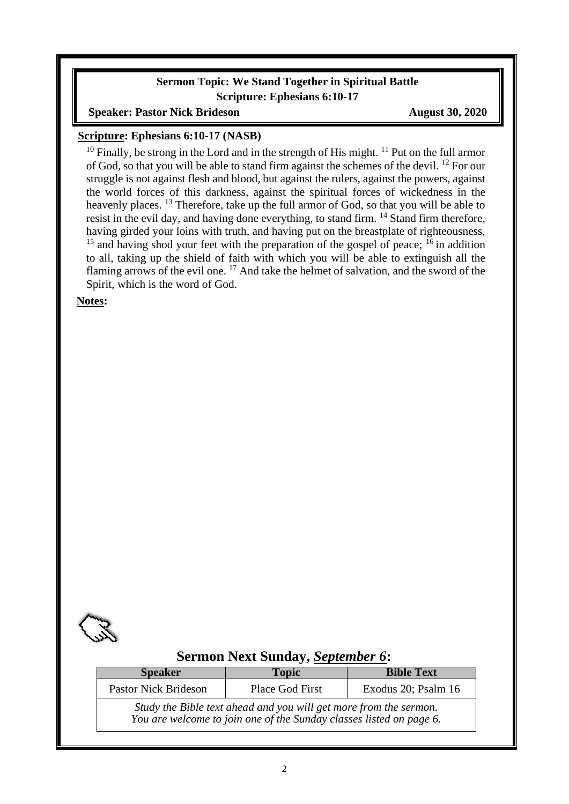### **Sermon Topic: We Stand Together in Spiritual Battle Scripture: Ephesians 6:10-17**

### **Speaker: Pastor Nick Brideson August 30, 2020**

### **Scripture: Ephesians 6:10-17 (NASB)**

<sup>10</sup> Finally, be strong in the Lord and in the strength of His might. <sup>11</sup> Put on the full armor of God, so that you will be able to stand firm against the schemes of the devil. <sup>12</sup> For our struggle is not against flesh and blood, but against the rulers, against the powers, against the world forces of this darkness, against the spiritual forces of wickedness in the heavenly places. <sup>13</sup> Therefore, take up the full armor of God, so that you will be able to resist in the evil day, and having done everything, to stand firm. <sup>14</sup> Stand firm therefore, having girded your loins with truth, and having put on the breastplate of righteousness,  $15$  and having shod your feet with the preparation of the gospel of peace;  $16$  in addition to all, taking up the shield of faith with which you will be able to extinguish all the flaming arrows of the evil one. <sup>17</sup> And take the helmet of salvation, and the sword of the Spirit, which is the word of God.

**Notes:**



# **Sermon Next Sunday,** *September 6***:**

| <b>Speaker</b>              | <b>Topic</b>                                                                                                                             | <b>Bible Text</b>   |
|-----------------------------|------------------------------------------------------------------------------------------------------------------------------------------|---------------------|
| <b>Pastor Nick Brideson</b> | Place God First                                                                                                                          | Exodus 20; Psalm 16 |
|                             | Study the Bible text ahead and you will get more from the sermon.<br>You are welcome to join one of the Sunday classes listed on page 6. |                     |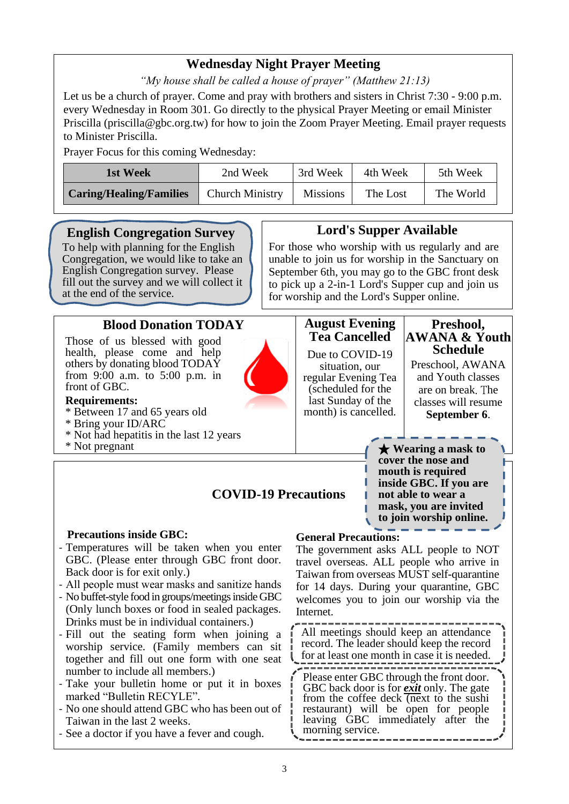# **Wednesday Night Prayer Meeting**

*"My house shall be called a house of prayer" (Matthew 21:13)*

Let us be a church of prayer. Come and pray with brothers and sisters in Christ 7:30 - 9:00 p.m. every Wednesday in Room 301. Go directly to the physical Prayer Meeting or email Minister Priscilla (priscilla@gbc.org.tw) for how to join the Zoom Prayer Meeting. Email prayer requests to Minister Priscilla.

Prayer Focus for this coming Wednesday:

| 1st Week                       | 2nd Week               | 3rd Week        | 4th Week | 5th Week  |
|--------------------------------|------------------------|-----------------|----------|-----------|
| <b>Caring/Healing/Families</b> | <b>Church Ministry</b> | <b>Missions</b> | The Lost | The World |

# **English Congregation Survey**

To help with planning for the English Congregation, we would like to take an English Congregation survey. Please fill out the survey and we will collect it at the end of the service.

# **Blood Donation TODAY**

Those of us blessed with good health, please come and help others by donating blood TODAY from 9:00 a.m. to 5:00 p.m. in front of GBC.

- **Requirements:** \* Between 17 and 65 years old
- \* Bring your ID/ARC
- \* Not had hepatitis in the last 12 years
- \* Not pregnant

# **Lord's Supper Available**

For those who worship with us regularly and are unable to join us for worship in the Sanctuary on September 6th, you may go to the GBC front desk to pick up a 2-in-1 Lord's Supper cup and join us for worship and the Lord's Supper online.

# **August Evening Tea Cancelled**

Due to COVID-19 situation, our regular Evening Tea (scheduled for the last Sunday of the month) is cancelled.

#### **Preshool, AWANA & Youth Schedule**

Preschool, AWANA and Youth classes are on break. The classes will resume **September 6**.

★ **Wearing a mask to cover the nose and mouth is required inside GBC. If you are not able to wear a mask, you are invited to join worship online.**

# **COVID-19 Precautions**

#### **Precautions inside GBC:**

- Temperatures will be taken when you enter GBC. (Please enter through GBC front door. Back door is for exit only.)
- All people must wear masks and sanitize hands
- No buffet-style food in groups/meetings inside GBC (Only lunch boxes or food in sealed packages. Drinks must be in individual containers.)
- Fill out the seating form when joining a worship service. (Family members can sit together and fill out one form with one seat number to include all members.)
- Take your bulletin home or put it in boxes marked "Bulletin RECYLE".
- No one should attend GBC who has been out of Taiwan in the last 2 weeks.
- See a doctor if you have a fever and cough.

#### **General Precautions:**

The government asks ALL people to NOT travel overseas. ALL people who arrive in Taiwan from overseas MUST self-quarantine for 14 days. During your quarantine, GBC welcomes you to join our worship via the Internet.

All meetings should keep an attendance record. The leader should keep the record for at least one month in case it is needed.

Please enter GBC through the front door. GBC back door is for *exit* only. The gate from the coffee deck (next to the sushi restaurant) will be open for people leaving GBC immediately after the morning service.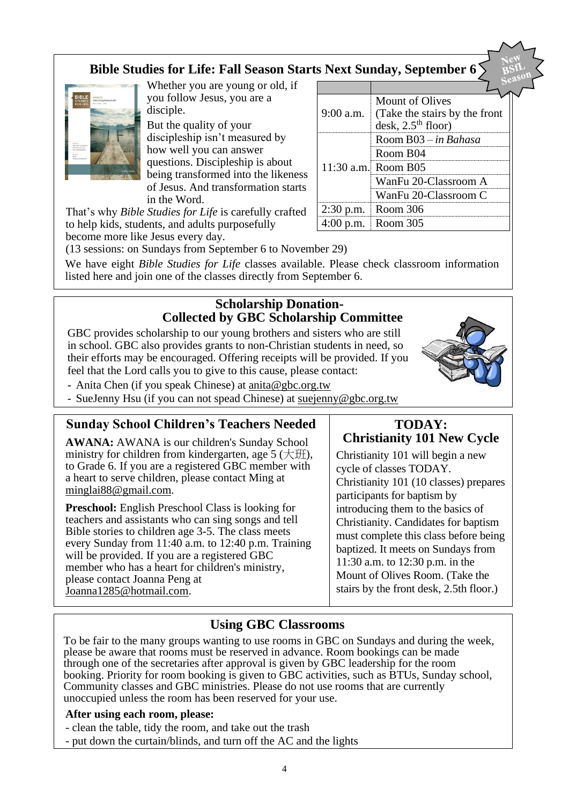# **Bible Studies for Life: Fall Season Starts Next Sunday, September 6**



Whether you are young or old, if you follow Jesus, you are a disciple.

But the quality of your discipleship isn't measured by how well you can answer questions. Discipleship is about being transformed into the likeness of Jesus. And transformation starts in the Word.

That's why *Bible Studies for Life* is carefully crafted to help kids, students, and adults purposefully become more like Jesus every day.

|             | <b>Mount of Olives</b>        |
|-------------|-------------------------------|
| $9:00$ a.m. | (Take the stairs by the front |
|             | desk, $2.5th$ floor)          |
|             | Room B03 – in Bahasa          |
|             | Room B04                      |
|             | 11:30 a.m. Room B05           |
|             | WanFu 20-Classroom A          |
|             | WanFu 20-Classroom C          |
|             | 2:30 p.m. Room $306$          |
|             | Room 305                      |

(13 sessions: on Sundays from September 6 to November 29)

We have eight *Bible Studies for Life* classes available. Please check classroom information listed here and join one of the classes directly from September 6.

## **Scholarship Donation-Collected by GBC Scholarship Committee**

GBC provides scholarship to our young brothers and sisters who are still in school. GBC also provides grants to non-Christian students in need, so their efforts may be encouraged. Offering receipts will be provided. If you feel that the Lord calls you to give to this cause, please contact:



- Anita Chen (if you speak Chinese) at [anita@gbc.org.tw](mailto:anita@gbc.org.tw)
- SueJenny Hsu (if you can not spead Chinese) at suejenny@gbc.org.tw

### **Sunday School Children's Teachers Needed**

**AWANA:** AWANA is our children's Sunday School ministry for children from kindergarten, age  $5 \times \mathbb{H}$ ), to Grade 6. If you are a registered GBC member with a heart to serve children, please contact Ming at [minglai88@gmail.com.](mailto:minglai88@gmail.com)

**Preschool:** English Preschool Class is looking for teachers and assistants who can sing songs and tell Bible stories to children age 3-5. The class meets every Sunday from 11:40 a.m. to 12:40 p.m. Training will be provided. If you are a registered GBC member who has a heart for children's ministry, please contact Joanna Peng at Joanna1285@hotmail.com.

### **TODAY: Christianity 101 New Cycle**

Christianity 101 will begin a new cycle of classes TODAY. Christianity 101 (10 classes) prepares participants for baptism by introducing them to the basics of Christianity. Candidates for baptism must complete this class before being baptized. It meets on Sundays from 11:30 a.m. to 12:30 p.m. in the Mount of Olives Room. (Take the stairs by the front desk, 2.5th floor.)

# **Using GBC Classrooms**

To be fair to the many groups wanting to use rooms in GBC on Sundays and during the week, please be aware that rooms must be reserved in advance. Room bookings can be made through one of the secretaries after approval is given by GBC leadership for the room booking. Priority for room booking is given to GBC activities, such as BTUs, Sunday school, Community classes and GBC ministries. Please do not use rooms that are currently unoccupied unless the room has been reserved for your use.

#### **After using each room, please:**

- clean the table, tidy the room, and take out the trash
- put down the curtain/blinds, and turn off the AC and the lights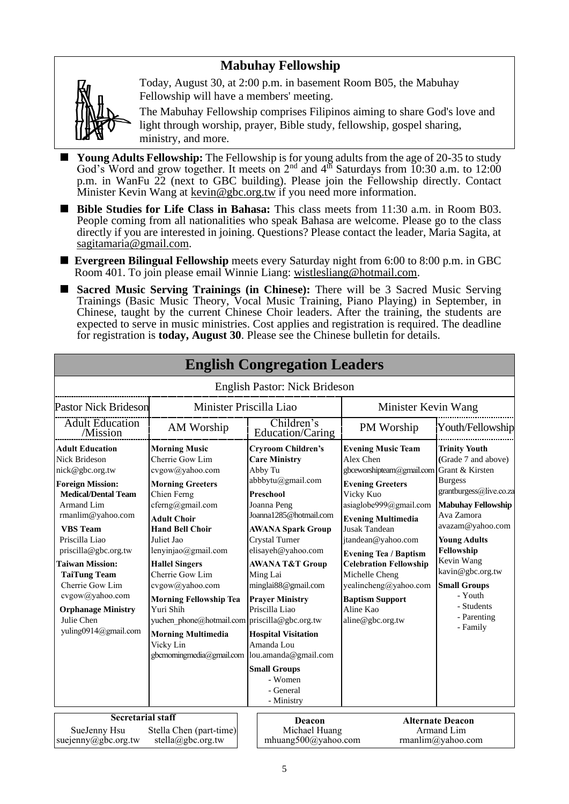# **Mabuhay Fellowship**



Today, August 30, at 2:00 p.m. in basement Room B05, the Mabuhay Fellowship will have a members' meeting.

The Mabuhay Fellowship comprises Filipinos aiming to share God's love and light through worship, prayer, Bible study, fellowship, gospel sharing, ministry, and more.

- **Young Adults Fellowship:** The Fellowship is for young adults from the age of 20-35 to study God's Word and grow together. It meets on  $2<sup>nd</sup>$  and  $4<sup>th</sup>$  Saturdays from 10:30 a.m. to 12:00 p.m. in WanFu 22 (next to GBC building). Please join the Fellowship directly. Contact Minister Kevin Wang at kevin@gbc.org.tw if you need more information.
- Bible Studies for Life Class in Bahasa: This class meets from 11:30 a.m. in Room B03. People coming from all nationalities who speak Bahasa are welcome. Please go to the class directly if you are interested in joining. Questions? Please contact the leader, Maria Sagita, at sagitamaria@gmail.com.
- **Evergreen Bilingual Fellowship** meets every Saturday night from 6:00 to 8:00 p.m. in GBC Room 401. To join please email Winnie Liang: [wistlesliang@hotmail.com.](mailto:wistlesliang@hotmail.com)
- Sacred Music Serving Trainings (in Chinese): There will be 3 Sacred Music Serving Trainings (Basic Music Theory, Vocal Music Training, Piano Playing) in September, in Chinese, taught by the current Chinese Choir leaders. After the training, the students are expected to serve in music ministries. Cost applies and registration is required. The deadline for registration is **today, August 30**. Please see the Chinese bulletin for details.

|                                                                                                                                                                                                                                                                                                                                                                                      |                                                                                                                                                                                                                                                                                                                                                                                                                                                                          |  | <b>English Congregation Leaders</b>                                                                                                                                                                                                                                                                                                                                                                                                      |                                                                                                                                                                                                                                                                                                                                                                                                         |                                                                                                                                                                                                                                                                                                           |  |
|--------------------------------------------------------------------------------------------------------------------------------------------------------------------------------------------------------------------------------------------------------------------------------------------------------------------------------------------------------------------------------------|--------------------------------------------------------------------------------------------------------------------------------------------------------------------------------------------------------------------------------------------------------------------------------------------------------------------------------------------------------------------------------------------------------------------------------------------------------------------------|--|------------------------------------------------------------------------------------------------------------------------------------------------------------------------------------------------------------------------------------------------------------------------------------------------------------------------------------------------------------------------------------------------------------------------------------------|---------------------------------------------------------------------------------------------------------------------------------------------------------------------------------------------------------------------------------------------------------------------------------------------------------------------------------------------------------------------------------------------------------|-----------------------------------------------------------------------------------------------------------------------------------------------------------------------------------------------------------------------------------------------------------------------------------------------------------|--|
|                                                                                                                                                                                                                                                                                                                                                                                      |                                                                                                                                                                                                                                                                                                                                                                                                                                                                          |  | English Pastor: Nick Brideson                                                                                                                                                                                                                                                                                                                                                                                                            |                                                                                                                                                                                                                                                                                                                                                                                                         |                                                                                                                                                                                                                                                                                                           |  |
| <b>Pastor Nick Brideson</b><br>Minister Priscilla Liao                                                                                                                                                                                                                                                                                                                               |                                                                                                                                                                                                                                                                                                                                                                                                                                                                          |  |                                                                                                                                                                                                                                                                                                                                                                                                                                          | Minister Kevin Wang                                                                                                                                                                                                                                                                                                                                                                                     |                                                                                                                                                                                                                                                                                                           |  |
| <b>Adult Education</b><br>/Mission                                                                                                                                                                                                                                                                                                                                                   | AM Worship                                                                                                                                                                                                                                                                                                                                                                                                                                                               |  | Children's<br>Education/Caring                                                                                                                                                                                                                                                                                                                                                                                                           | PM Worship                                                                                                                                                                                                                                                                                                                                                                                              | Youth/Fellowship                                                                                                                                                                                                                                                                                          |  |
| <b>Adult Education</b><br><b>Nick Brideson</b><br>nick@gbc.org.tw<br><b>Foreign Mission:</b><br><b>Medical/Dental Team</b><br>Armand Lim<br>rmanlim@yahoo.com<br><b>VBS</b> Team<br>Priscilla Liao<br>priscilla@gbc.org.tw<br><b>Taiwan Mission:</b><br><b>TaiTung Team</b><br>Cherrie Gow Lim<br>cvgow@yahoo.com<br><b>Orphanage Ministry</b><br>Julie Chen<br>yuling0914@gmail.com | <b>Morning Music</b><br>Cherrie Gow Lim<br>cvgow@yahoo.com<br><b>Morning Greeters</b><br>Chien Ferng<br>cferng@gmail.com<br><b>Adult Choir</b><br><b>Hand Bell Choir</b><br>Juliet Jao<br>lenyinjao@gmail.com<br><b>Hallel Singers</b><br>Cherrie Gow Lim<br>cvgow@yahoo.com<br><b>Morning Fellowship Tea</b><br>Yuri Shih<br>yuchen phone@hotmail.com priscilla@gbc.org.tw<br><b>Morning Multimedia</b><br>Vicky Lin<br>gbcmorningmedia@gmail.com  lou.amanda@gmail.com |  | <b>Cryroom Children's</b><br><b>Care Ministry</b><br>Abby Tu<br>abbbytu@gmail.com<br><b>Preschool</b><br>Joanna Peng<br>Joanna1285@hotmail.com<br><b>AWANA Spark Group</b><br>Crystal Turner<br>elisayeh@yahoo.com<br><b>AWANA T&amp;T Group</b><br>Ming Lai<br>minglai88@gmail.com<br><b>Prayer Ministry</b><br>Priscilla Liao<br><b>Hospital Visitation</b><br>Amanda Lou<br><b>Small Groups</b><br>- Women<br>- General<br>- Ministry | <b>Evening Music Team</b><br>Alex Chen<br>gbceworshipteam@gmail.com Grant & Kirsten<br><b>Evening Greeters</b><br>Vicky Kuo<br>asiaglobe999@gmail.com<br><b>Evening Multimedia</b><br><b>Jusak Tandean</b><br>jtandean@yahoo.com<br><b>Evening Tea / Baptism</b><br><b>Celebration Fellowship</b><br>Michelle Cheng<br>yealincheng@yahoo.com<br><b>Baptism Support</b><br>Aline Kao<br>aline@gbc.org.tw | <b>Trinity Youth</b><br>(Grade 7 and above)<br><b>Burgess</b><br>grantburgess@live.co.za<br><b>Mabuhay Fellowship</b><br>Ava Zamora<br>avazam@yahoo.com<br><b>Young Adults</b><br>Fellowship<br>Kevin Wang<br>kavin@gbc.org.tw<br><b>Small Groups</b><br>- Youth<br>- Students<br>- Parenting<br>- Family |  |
| <b>Secretarial staff</b><br>SueJenny Hsu<br>suejenny@gbc.org.tw                                                                                                                                                                                                                                                                                                                      | Stella Chen (part-time)<br>stella@gbc.org.tw                                                                                                                                                                                                                                                                                                                                                                                                                             |  | <b>Deacon</b><br>Michael Huang<br>mhuang500@yahoo.com                                                                                                                                                                                                                                                                                                                                                                                    |                                                                                                                                                                                                                                                                                                                                                                                                         | <b>Alternate Deacon</b><br>Armand Lim<br>rmanlim@yahoo.com                                                                                                                                                                                                                                                |  |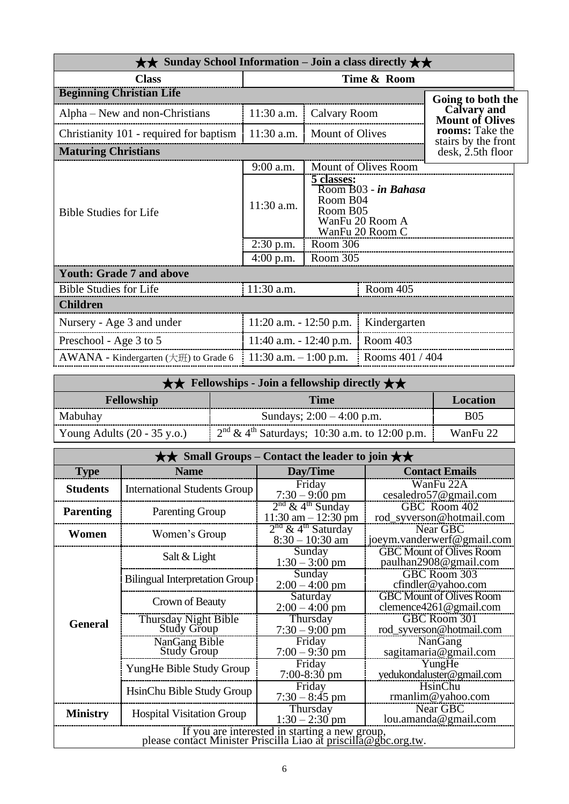| $\star\star$ Sunday School Information – Join a class directly $\star\star$ |                            |                                    |                                                            |                                              |  |
|-----------------------------------------------------------------------------|----------------------------|------------------------------------|------------------------------------------------------------|----------------------------------------------|--|
| <b>Class</b>                                                                | Time & Room                |                                    |                                                            |                                              |  |
| <b>Beginning Christian Life</b>                                             |                            |                                    |                                                            | Going to both the                            |  |
| Alpha – New and non-Christians                                              | 11:30 a.m.                 | Calvary Room                       |                                                            | <b>Calvary and</b><br><b>Mount of Olives</b> |  |
| Christianity 101 - required for baptism                                     | 11:30 a.m.                 | <b>Mount of Olives</b>             |                                                            | rooms: Take the<br>stairs by the front       |  |
| <b>Maturing Christians</b>                                                  |                            |                                    |                                                            | $\mathrm{desk}$ , 2.5th floor                |  |
|                                                                             | 9:00 a.m.                  |                                    | Mount of Olives Room                                       |                                              |  |
| <b>Bible Studies for Life</b>                                               | 11:30 a.m.                 | 5 classes:<br>Room B04<br>Room B05 | Room B03 - in Bahasa<br>WanFu 20 Room A<br>WanFu 20 Room C |                                              |  |
|                                                                             | $2:30$ p.m.                | Room 306                           |                                                            |                                              |  |
|                                                                             | $4:00$ p.m.                | Room 305                           |                                                            |                                              |  |
| <b>Youth: Grade 7 and above</b>                                             |                            |                                    |                                                            |                                              |  |
| <b>Bible Studies for Life</b>                                               | 11:30 a.m.                 |                                    | Room 405                                                   |                                              |  |
| <b>Children</b>                                                             |                            |                                    |                                                            |                                              |  |
| Nursery - Age 3 and under                                                   | $11:20$ a.m. $-12:50$ p.m. |                                    | Kindergarten                                               |                                              |  |
| Preschool - Age 3 to 5                                                      | $11:40$ a.m. $-12:40$ p.m. |                                    | Room 403                                                   |                                              |  |
| AWANA - Kindergarten $(\pm \mathcal{H})$ to Grade 6                         | 11:30 a.m. $-1:00$ p.m.    |                                    | Rooms 401 / 404                                            |                                              |  |

|                                       | $\star \star$ Fellowships - Join a fellowship directly $\star \star$ |                 |  |  |
|---------------------------------------|----------------------------------------------------------------------|-----------------|--|--|
| <b>Fellowship</b>                     | <b>Time</b>                                                          | <b>Location</b> |  |  |
| Mabuhay                               | Sundays; $2:00 - 4:00$ p.m.                                          | <b>B05</b>      |  |  |
| Young Adults $(20 - 35 \text{ y.o.})$ | $2nd \& 4th Saturdays$ ; 10:30 a.m. to 12:00 p.m.                    | WanFu 22        |  |  |

|                  | $\star\star$ Small Groups – Contact the leader to join $\star\star$ |                                                          |                                                               |  |  |
|------------------|---------------------------------------------------------------------|----------------------------------------------------------|---------------------------------------------------------------|--|--|
| <b>Type</b>      | <b>Name</b>                                                         | Day/Time                                                 | <b>Contact Emails</b>                                         |  |  |
| <b>Students</b>  | <b>International Students Group</b>                                 | Friday<br>$7:30 - 9:00$ pm                               | WanFu 22A<br>cesaledro57@gmail.com                            |  |  |
| <b>Parenting</b> | <b>Parenting Group</b>                                              | $2nd$ & 4 <sup>th</sup> Sunday<br>$11:30$ am $-12:30$ pm | GBC Room 402<br>rod_syverson@hotmail.com                      |  |  |
| Women            | Women's Group                                                       | $2nd$ & 4 <sup>th</sup> Saturday<br>$8:30 - 10:30$ am    | Near GBC<br>joeym.vanderwerf@gmail.com                        |  |  |
|                  | Salt & Light                                                        | Sunday<br>$1:30 - 3:00$ pm                               | <b>GBC Mount of Olives Room</b><br>paulhan2908@gmail.com      |  |  |
|                  | <b>Bilingual Interpretation Group</b>                               | Sunday<br>$2:00 - 4:00$ pm                               | GBC Room 303<br>cfindler@yahoo.com                            |  |  |
|                  | Crown of Beauty                                                     | Saturday<br>$2:00 - 4:00$ pm                             | <b>GBC Mount of Olives Room</b><br>clemence $4261$ @gmail.com |  |  |
| <b>General</b>   | Thursday Night Bible<br><b>Study Group</b>                          | Thursday<br>$7:30 - 9:00$ pm                             | GBC Room 301<br>rod_syverson@hotmail.com                      |  |  |
|                  | NanGang Bible<br><b>Study Group</b>                                 | Friday<br>$7:00 - 9:30$ pm                               | NanGang<br>sagitamaria@gmail.com                              |  |  |
|                  | YungHe Bible Study Group                                            | Friday<br>$7:00-8:30$ pm                                 | YungHe<br>yedukondaluster@gmail.com                           |  |  |
|                  | HsinChu Bible Study Group                                           | Friday<br>$7:30 - 8:45$ pm                               | HsinChu<br>rmanlim@yahoo.com                                  |  |  |
| <b>Ministry</b>  | <b>Hospital Visitation Group</b>                                    | Thursday<br>$1:30 - 2:30$ pm                             | Near GBC<br>lou.amanda@gmail.com                              |  |  |
|                  | please contact Minister Priscilla Liao at priscilla@gbc.org.tw.     | If you are interested in starting a new group,           |                                                               |  |  |